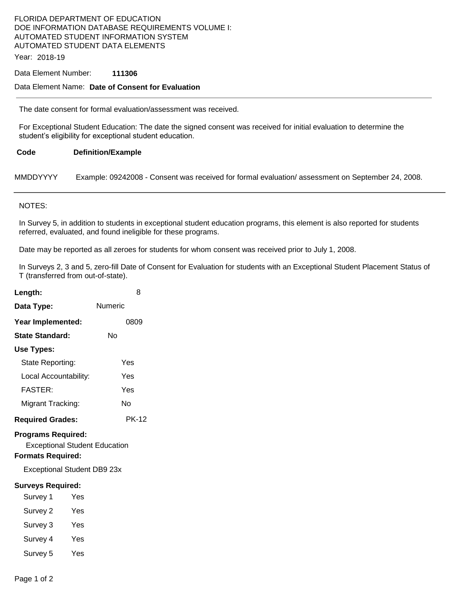## FLORIDA DEPARTMENT OF EDUCATION DOE INFORMATION DATABASE REQUIREMENTS VOLUME I: AUTOMATED STUDENT INFORMATION SYSTEM AUTOMATED STUDENT DATA ELEMENTS

Year: 2018-19

#### Data Element Number: **111306**

### Data Element Name: **Date of Consent for Evaluation**

The date consent for formal evaluation/assessment was received.

For Exceptional Student Education: The date the signed consent was received for initial evaluation to determine the student's eligibility for exceptional student education.

#### **Code Definition/Example**

MMDDYYYY Example: 09242008 - Consent was received for formal evaluation/ assessment on September 24, 2008.

#### NOTES:

In Survey 5, in addition to students in exceptional student education programs, this element is also reported for students referred, evaluated, and found ineligible for these programs.

Date may be reported as all zeroes for students for whom consent was received prior to July 1, 2008.

In Surveys 2, 3 and 5, zero-fill Date of Consent for Evaluation for students with an Exceptional Student Placement Status of T (transferred from out-of-state).

| Length:                                                                                       | 8            |  |
|-----------------------------------------------------------------------------------------------|--------------|--|
| Data Type:                                                                                    | Numeric      |  |
| Year Implemented:                                                                             | 0809         |  |
| State Standard:                                                                               | N٥           |  |
| Use Types:                                                                                    |              |  |
| State Reporting:                                                                              | Yes          |  |
| Local Accountability:                                                                         | Yes          |  |
| <b>FASTER:</b>                                                                                | Yes          |  |
| Migrant Tracking:                                                                             | N٥           |  |
| <b>Required Grades:</b>                                                                       | <b>PK-12</b> |  |
| <b>Programs Required:</b><br><b>Exceptional Student Education</b><br><b>Formats Required:</b> |              |  |
| <b>Exceptional Student DB9 23x</b>                                                            |              |  |
| <b>Surveys Required:</b><br>Survey 1<br><b>Property</b>                                       |              |  |

- Survey 2 Yes
- Survey 3 Yes
- 
- Survey 4 Yes
- Survey 5 Yes